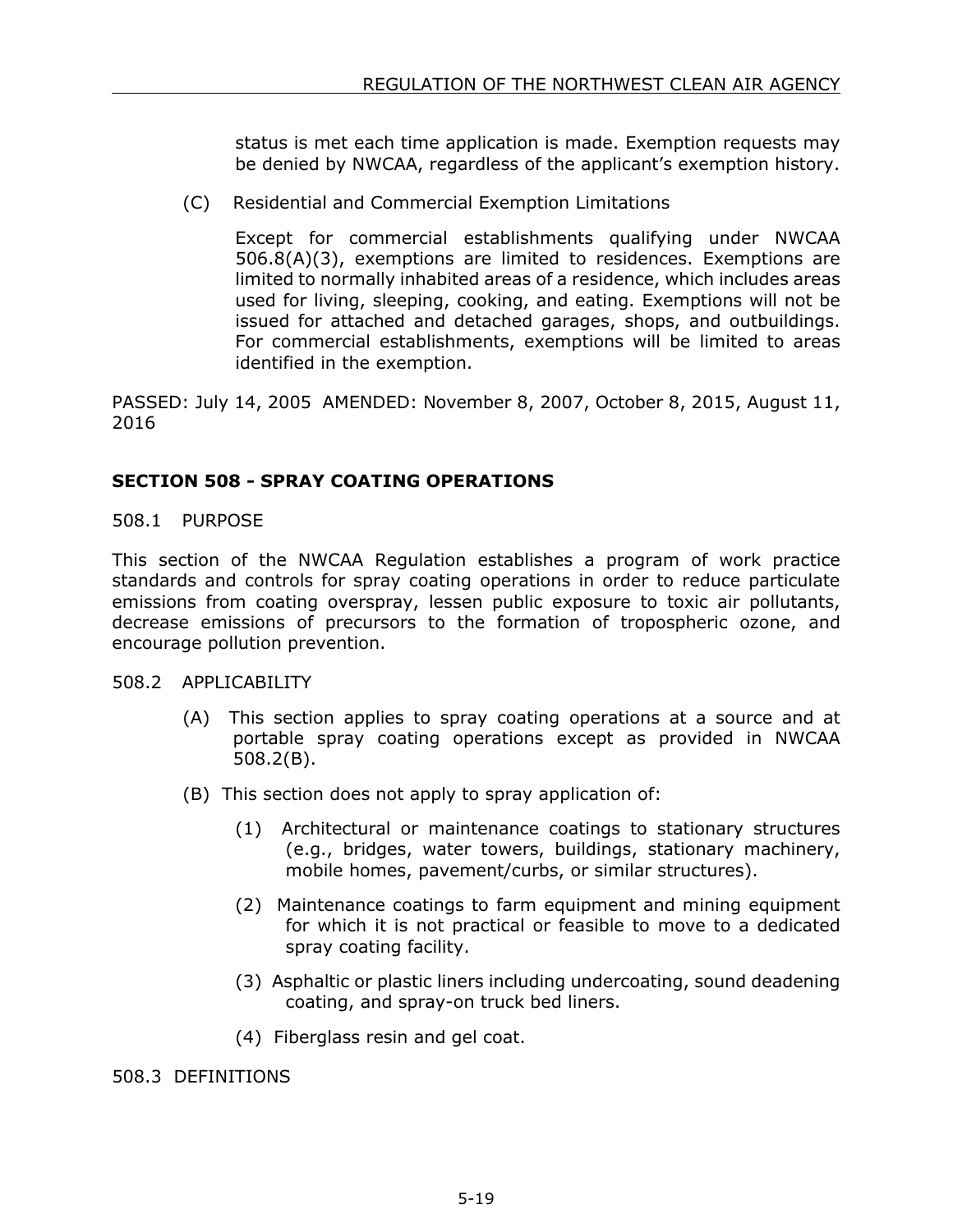status is met each time application is made. Exemption requests may be denied by NWCAA, regardless of the applicant's exemption history.

(C) Residential and Commercial Exemption Limitations

Except for commercial establishments qualifying under NWCAA 506.8(A)(3), exemptions are limited to residences. Exemptions are limited to normally inhabited areas of a residence, which includes areas used for living, sleeping, cooking, and eating. Exemptions will not be issued for attached and detached garages, shops, and outbuildings. For commercial establishments, exemptions will be limited to areas identified in the exemption.

PASSED: July 14, 2005 AMENDED: November 8, 2007, October 8, 2015, August 11, 2016

## **SECTION 508 - SPRAY COATING OPERATIONS**

508.1 PURPOSE

This section of the NWCAA Regulation establishes a program of work practice standards and controls for spray coating operations in order to reduce particulate emissions from coating overspray, lessen public exposure to toxic air pollutants, decrease emissions of precursors to the formation of tropospheric ozone, and encourage pollution prevention.

508.2 APPLICABILITY

- (A) This section applies to spray coating operations at a source and at portable spray coating operations except as provided in NWCAA 508.2(B).
- (B) This section does not apply to spray application of:
	- (1) Architectural or maintenance coatings to stationary structures (e.g., bridges, water towers, buildings, stationary machinery, mobile homes, pavement/curbs, or similar structures).
	- (2) Maintenance coatings to farm equipment and mining equipment for which it is not practical or feasible to move to a dedicated spray coating facility.
	- (3) Asphaltic or plastic liners including undercoating, sound deadening coating, and spray-on truck bed liners.
	- (4) Fiberglass resin and gel coat.

508.3 DEFINITIONS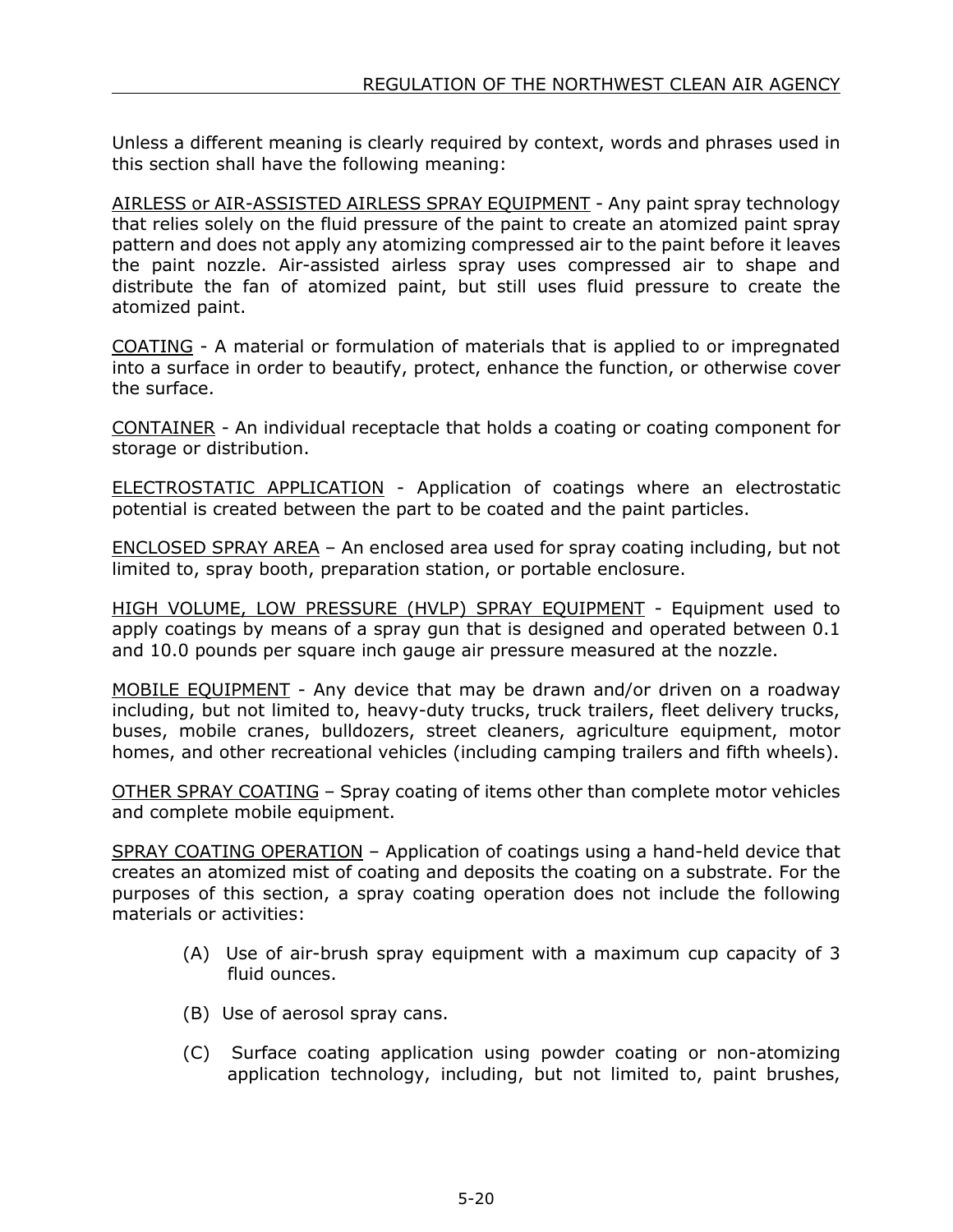Unless a different meaning is clearly required by context, words and phrases used in this section shall have the following meaning:

AIRLESS or AIR-ASSISTED AIRLESS SPRAY EQUIPMENT - Any paint spray technology that relies solely on the fluid pressure of the paint to create an atomized paint spray pattern and does not apply any atomizing compressed air to the paint before it leaves the paint nozzle. Air-assisted airless spray uses compressed air to shape and distribute the fan of atomized paint, but still uses fluid pressure to create the atomized paint.

COATING - A material or formulation of materials that is applied to or impregnated into a surface in order to beautify, protect, enhance the function, or otherwise cover the surface.

CONTAINER - An individual receptacle that holds a coating or coating component for storage or distribution.

ELECTROSTATIC APPLICATION - Application of coatings where an electrostatic potential is created between the part to be coated and the paint particles.

ENCLOSED SPRAY AREA – An enclosed area used for spray coating including, but not limited to, spray booth, preparation station, or portable enclosure.

HIGH VOLUME, LOW PRESSURE (HVLP) SPRAY EQUIPMENT - Equipment used to apply coatings by means of a spray gun that is designed and operated between 0.1 and 10.0 pounds per square inch gauge air pressure measured at the nozzle.

MOBILE EQUIPMENT - Any device that may be drawn and/or driven on a roadway including, but not limited to, heavy-duty trucks, truck trailers, fleet delivery trucks, buses, mobile cranes, bulldozers, street cleaners, agriculture equipment, motor homes, and other recreational vehicles (including camping trailers and fifth wheels).

OTHER SPRAY COATING – Spray coating of items other than complete motor vehicles and complete mobile equipment.

SPRAY COATING OPERATION – Application of coatings using a hand-held device that creates an atomized mist of coating and deposits the coating on a substrate. For the purposes of this section, a spray coating operation does not include the following materials or activities:

- (A) Use of air-brush spray equipment with a maximum cup capacity of 3 fluid ounces.
- (B) Use of aerosol spray cans.
- (C) Surface coating application using powder coating or non-atomizing application technology, including, but not limited to, paint brushes,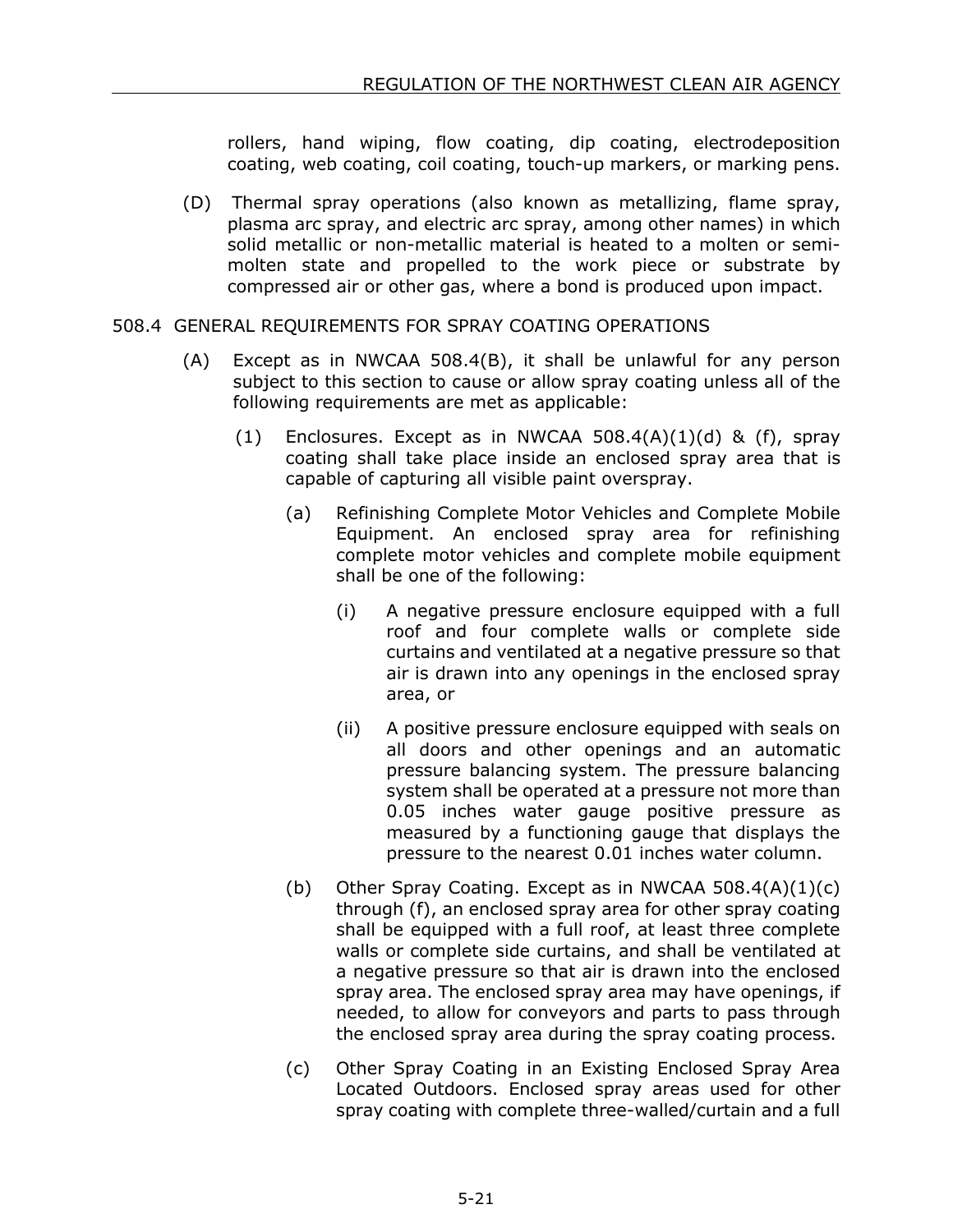rollers, hand wiping, flow coating, dip coating, electrodeposition coating, web coating, coil coating, touch-up markers, or marking pens.

(D) Thermal spray operations (also known as metallizing, flame spray, plasma arc spray, and electric arc spray, among other names) in which solid metallic or non-metallic material is heated to a molten or semimolten state and propelled to the work piece or substrate by compressed air or other gas, where a bond is produced upon impact.

## 508.4 GENERAL REQUIREMENTS FOR SPRAY COATING OPERATIONS

- (A) Except as in NWCAA 508.4(B), it shall be unlawful for any person subject to this section to cause or allow spray coating unless all of the following requirements are met as applicable:
	- (1) Enclosures. Except as in NWCAA  $508.4(A)(1)(d)$  & (f), spray coating shall take place inside an enclosed spray area that is capable of capturing all visible paint overspray.
		- (a) Refinishing Complete Motor Vehicles and Complete Mobile Equipment. An enclosed spray area for refinishing complete motor vehicles and complete mobile equipment shall be one of the following:
			- (i) A negative pressure enclosure equipped with a full roof and four complete walls or complete side curtains and ventilated at a negative pressure so that air is drawn into any openings in the enclosed spray area, or
			- (ii) A positive pressure enclosure equipped with seals on all doors and other openings and an automatic pressure balancing system. The pressure balancing system shall be operated at a pressure not more than 0.05 inches water gauge positive pressure as measured by a functioning gauge that displays the pressure to the nearest 0.01 inches water column.
		- (b) Other Spray Coating. Except as in NWCAA 508.4(A)(1)(c) through (f), an enclosed spray area for other spray coating shall be equipped with a full roof, at least three complete walls or complete side curtains, and shall be ventilated at a negative pressure so that air is drawn into the enclosed spray area. The enclosed spray area may have openings, if needed, to allow for conveyors and parts to pass through the enclosed spray area during the spray coating process.
		- (c) Other Spray Coating in an Existing Enclosed Spray Area Located Outdoors. Enclosed spray areas used for other spray coating with complete three-walled/curtain and a full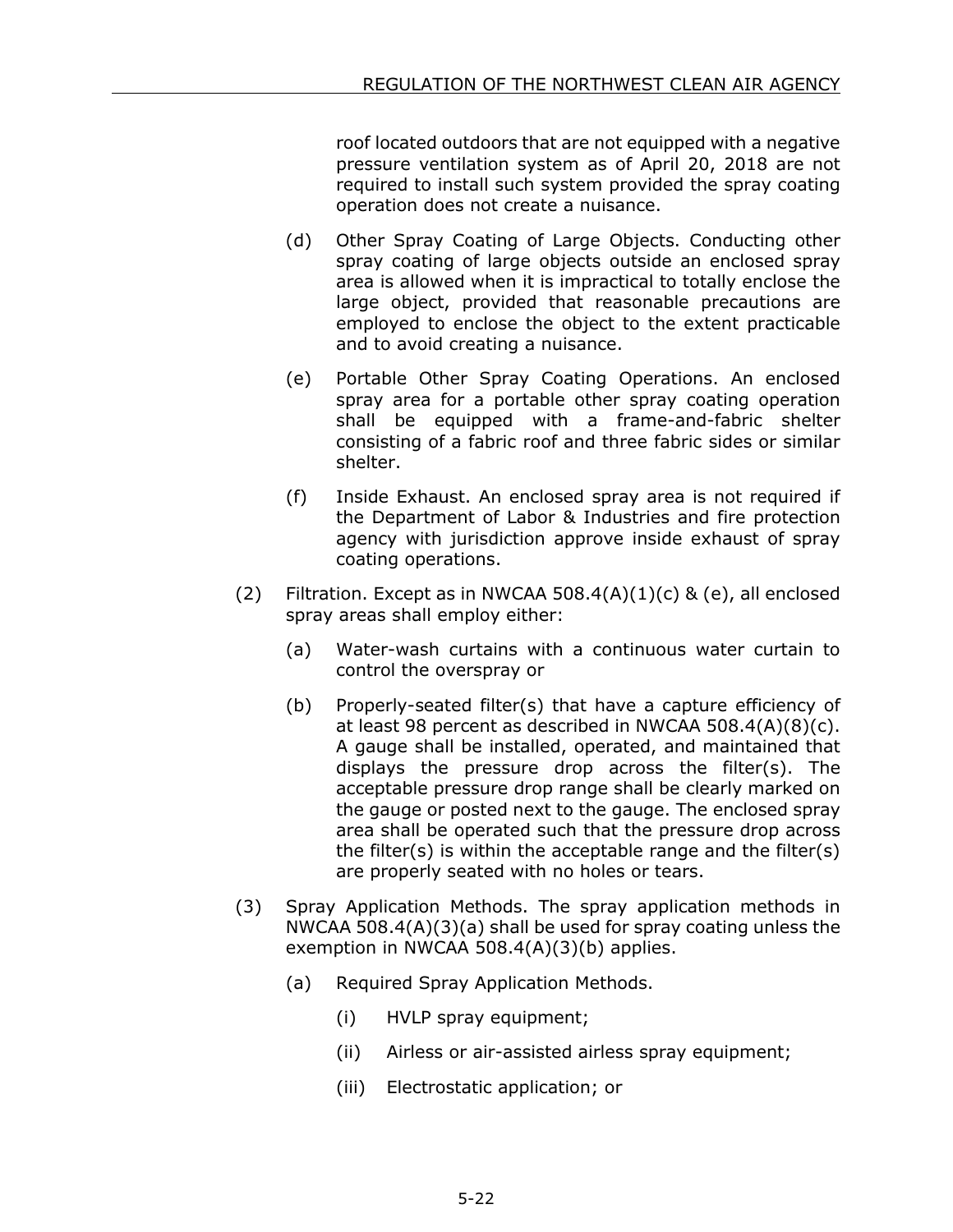roof located outdoors that are not equipped with a negative pressure ventilation system as of April 20, 2018 are not required to install such system provided the spray coating operation does not create a nuisance.

- (d) Other Spray Coating of Large Objects. Conducting other spray coating of large objects outside an enclosed spray area is allowed when it is impractical to totally enclose the large object, provided that reasonable precautions are employed to enclose the object to the extent practicable and to avoid creating a nuisance.
- (e) Portable Other Spray Coating Operations. An enclosed spray area for a portable other spray coating operation shall be equipped with a frame-and-fabric shelter consisting of a fabric roof and three fabric sides or similar shelter.
- (f) Inside Exhaust. An enclosed spray area is not required if the Department of Labor & Industries and fire protection agency with jurisdiction approve inside exhaust of spray coating operations.
- (2) Filtration. Except as in NWCAA 508.4(A)(1)(c) & (e), all enclosed spray areas shall employ either:
	- (a) Water-wash curtains with a continuous water curtain to control the overspray or
	- (b) Properly-seated filter(s) that have a capture efficiency of at least 98 percent as described in NWCAA 508.4(A)(8)(c). A gauge shall be installed, operated, and maintained that displays the pressure drop across the filter(s). The acceptable pressure drop range shall be clearly marked on the gauge or posted next to the gauge. The enclosed spray area shall be operated such that the pressure drop across the filter(s) is within the acceptable range and the filter(s) are properly seated with no holes or tears.
- (3) Spray Application Methods. The spray application methods in NWCAA 508.4(A)(3)(a) shall be used for spray coating unless the exemption in NWCAA 508.4(A)(3)(b) applies.
	- (a) Required Spray Application Methods.
		- (i) HVLP spray equipment;
		- (ii) Airless or air-assisted airless spray equipment;
		- (iii) Electrostatic application; or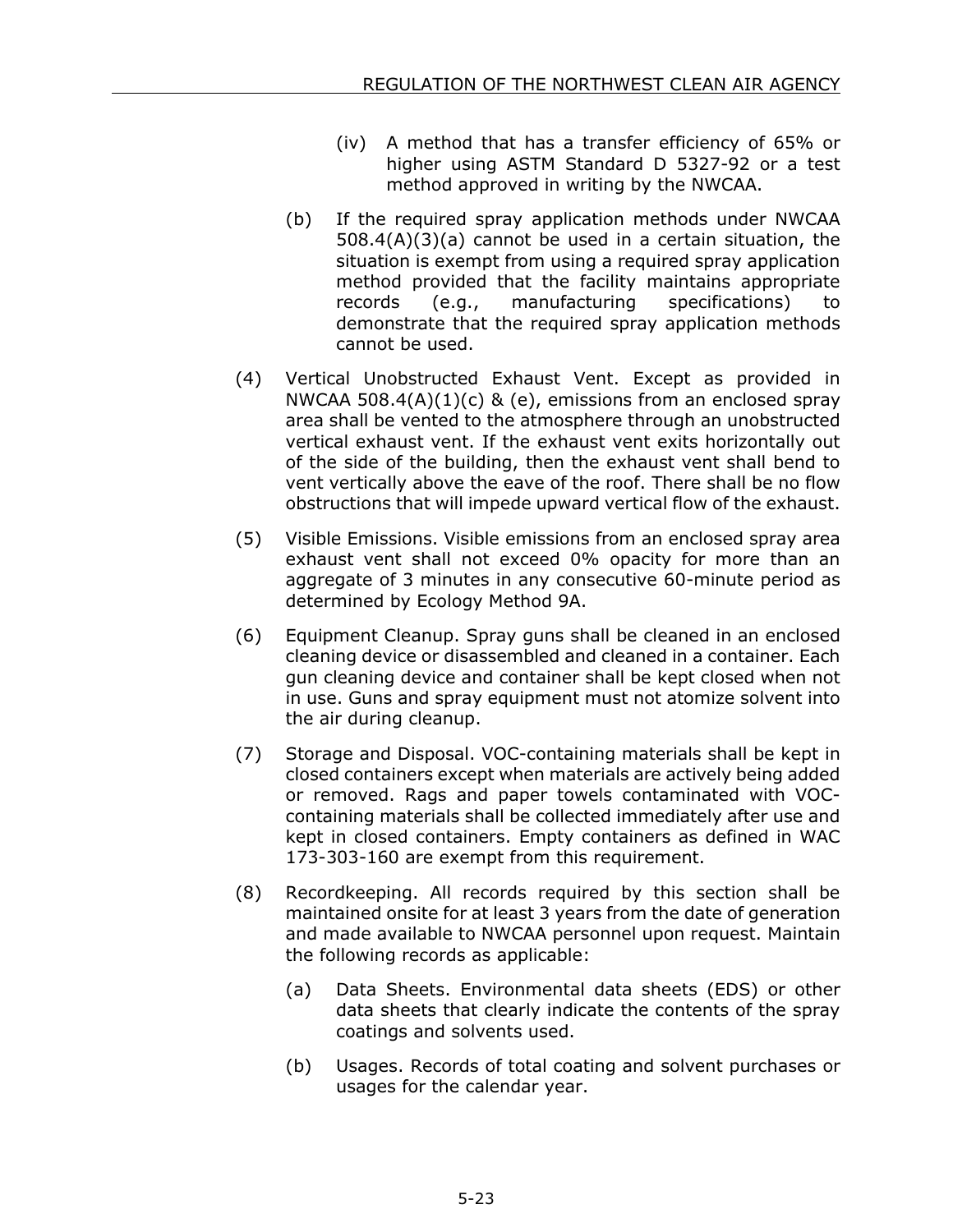- (iv) A method that has a transfer efficiency of 65% or higher using ASTM Standard D 5327-92 or a test method approved in writing by the NWCAA.
- (b) If the required spray application methods under NWCAA 508.4(A)(3)(a) cannot be used in a certain situation, the situation is exempt from using a required spray application method provided that the facility maintains appropriate records (e.g., manufacturing specifications) to demonstrate that the required spray application methods cannot be used.
- (4) Vertical Unobstructed Exhaust Vent. Except as provided in NWCAA 508.4(A) $(1)(c)$  & (e), emissions from an enclosed spray area shall be vented to the atmosphere through an unobstructed vertical exhaust vent. If the exhaust vent exits horizontally out of the side of the building, then the exhaust vent shall bend to vent vertically above the eave of the roof. There shall be no flow obstructions that will impede upward vertical flow of the exhaust.
- (5) Visible Emissions. Visible emissions from an enclosed spray area exhaust vent shall not exceed 0% opacity for more than an aggregate of 3 minutes in any consecutive 60-minute period as determined by Ecology Method 9A.
- (6) Equipment Cleanup. Spray guns shall be cleaned in an enclosed cleaning device or disassembled and cleaned in a container. Each gun cleaning device and container shall be kept closed when not in use. Guns and spray equipment must not atomize solvent into the air during cleanup.
- (7) Storage and Disposal. VOC-containing materials shall be kept in closed containers except when materials are actively being added or removed. Rags and paper towels contaminated with VOCcontaining materials shall be collected immediately after use and kept in closed containers. Empty containers as defined in WAC 173-303-160 are exempt from this requirement.
- (8) Recordkeeping. All records required by this section shall be maintained onsite for at least 3 years from the date of generation and made available to NWCAA personnel upon request. Maintain the following records as applicable:
	- (a) Data Sheets. Environmental data sheets (EDS) or other data sheets that clearly indicate the contents of the spray coatings and solvents used.
	- (b) Usages. Records of total coating and solvent purchases or usages for the calendar year.